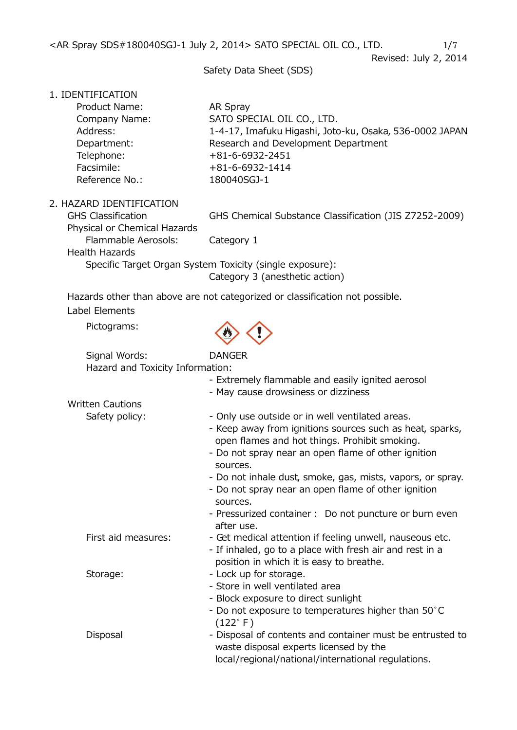<AR Spray SDS#180040SGJ-1 July 2, 2014> SATO SPECIAL OIL CO., LTD.  $1/7$ 

Revised: July 2, 2014

Safety Data Sheet (SDS)

1. IDENTIFICATION

| Product Name:  | AR Spray                                                |
|----------------|---------------------------------------------------------|
| Company Name:  | SATO SPECIAL OIL CO., LTD.                              |
| Address:       | 1-4-17, Imafuku Higashi, Joto-ku, Osaka, 536-0002 JAPAN |
| Department:    | Research and Development Department                     |
| Telephone:     | $+81 - 6 - 6932 - 2451$                                 |
| Facsimile:     | $+81 - 6 - 6932 - 1414$                                 |
| Reference No.: | 180040SGJ-1                                             |
|                |                                                         |

2. HAZARD IDENTIFICATION

GHS Classification GHS Chemical Substance Classification (JIS Z7252-2009)

Physical or Chemical Hazards Flammable Aerosols: Category 1 Health Hazards Specific Target Organ System Toxicity (single exposure): Category 3 (anesthetic action)

Hazards other than above are not categorized or classification not possible. Label Elements

Pictograms:



| Signal Words:                    | <b>DANGER</b> |
|----------------------------------|---------------|
| Hazard and Toxicity Information: |               |
|                                  |               |

|                         | - Extremely flammable and easily ignited aerosol<br>- May cause drowsiness or dizziness                                                                                                                                         |
|-------------------------|---------------------------------------------------------------------------------------------------------------------------------------------------------------------------------------------------------------------------------|
| <b>Written Cautions</b> |                                                                                                                                                                                                                                 |
| Safety policy:          | - Only use outside or in well ventilated areas.<br>- Keep away from ignitions sources such as heat, sparks,<br>open flames and hot things. Prohibit smoking.<br>- Do not spray near an open flame of other ignition<br>sources. |
|                         | - Do not inhale dust, smoke, gas, mists, vapors, or spray.<br>- Do not spray near an open flame of other ignition<br>sources.                                                                                                   |
|                         | - Pressurized container : Do not puncture or burn even<br>after use.                                                                                                                                                            |
| First aid measures:     | - Get medical attention if feeling unwell, nauseous etc.<br>- If inhaled, go to a place with fresh air and rest in a<br>position in which it is easy to breathe.                                                                |
| Storage:                | - Lock up for storage.<br>- Store in well ventilated area<br>- Block exposure to direct sunlight<br>- Do not exposure to temperatures higher than 50°C<br>$(122^{\circ} F)$                                                     |
| Disposal                | - Disposal of contents and container must be entrusted to<br>waste disposal experts licensed by the<br>local/regional/national/international regulations.                                                                       |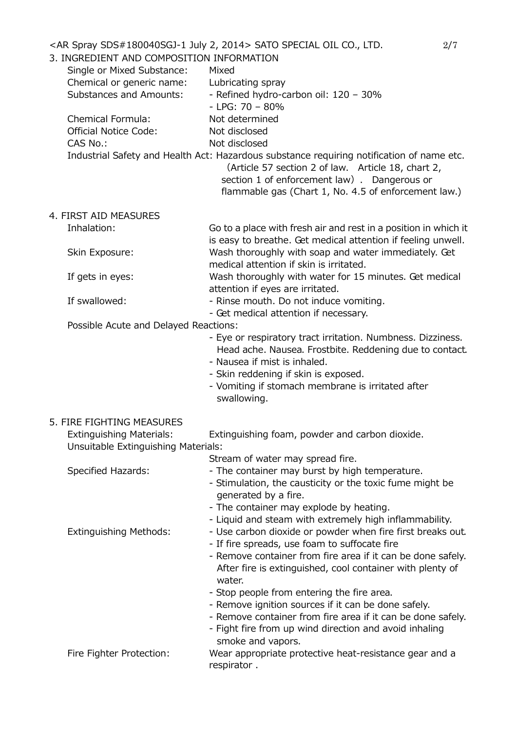| 3. INGREDIENT AND COMPOSITION INFORMATION<br>Single or Mixed Substance:<br>Chemical or generic name:<br><b>Substances and Amounts:</b><br>Chemical Formula:<br><b>Official Notice Code:</b><br>CAS No.: | <ar 2,="" 2014="" july="" sds#180040sgj-1="" spray=""> SATO SPECIAL OIL CO., LTD.<br/>Mixed<br/>Lubricating spray<br/>- Refined hydro-carbon oil: 120 - 30%<br/><math>-</math> LPG: 70 <math>-</math> 80%<br/>Not determined<br/>Not disclosed<br/>Not disclosed<br/>Industrial Safety and Health Act: Hazardous substance requiring notification of name etc.<br/>(Article 57 section 2 of law. Article 18, chart 2,<br/>section 1 of enforcement law). Dangerous or<br/>flammable gas (Chart 1, No. 4.5 of enforcement law.)</ar> | 2/7 |
|---------------------------------------------------------------------------------------------------------------------------------------------------------------------------------------------------------|-------------------------------------------------------------------------------------------------------------------------------------------------------------------------------------------------------------------------------------------------------------------------------------------------------------------------------------------------------------------------------------------------------------------------------------------------------------------------------------------------------------------------------------|-----|
| 4. FIRST AID MEASURES                                                                                                                                                                                   |                                                                                                                                                                                                                                                                                                                                                                                                                                                                                                                                     |     |
| Inhalation:                                                                                                                                                                                             | Go to a place with fresh air and rest in a position in which it<br>is easy to breathe. Get medical attention if feeling unwell.                                                                                                                                                                                                                                                                                                                                                                                                     |     |
| Skin Exposure:                                                                                                                                                                                          | Wash thoroughly with soap and water immediately. Get<br>medical attention if skin is irritated.                                                                                                                                                                                                                                                                                                                                                                                                                                     |     |
| If gets in eyes:                                                                                                                                                                                        | Wash thoroughly with water for 15 minutes. Get medical<br>attention if eyes are irritated.                                                                                                                                                                                                                                                                                                                                                                                                                                          |     |
| If swallowed:                                                                                                                                                                                           | - Rinse mouth. Do not induce vomiting.<br>- Get medical attention if necessary.                                                                                                                                                                                                                                                                                                                                                                                                                                                     |     |
| Possible Acute and Delayed Reactions:                                                                                                                                                                   |                                                                                                                                                                                                                                                                                                                                                                                                                                                                                                                                     |     |
|                                                                                                                                                                                                         | - Eye or respiratory tract irritation. Numbness. Dizziness.<br>Head ache. Nausea. Frostbite. Reddening due to contact.<br>- Nausea if mist is inhaled.<br>- Skin reddening if skin is exposed.<br>- Vomiting if stomach membrane is irritated after<br>swallowing.                                                                                                                                                                                                                                                                  |     |
| 5. FIRE FIGHTING MEASURES<br><b>Extinguishing Materials:</b><br>Unsuitable Extinguishing Materials:                                                                                                     | Extinguishing foam, powder and carbon dioxide.                                                                                                                                                                                                                                                                                                                                                                                                                                                                                      |     |
|                                                                                                                                                                                                         | Stream of water may spread fire.                                                                                                                                                                                                                                                                                                                                                                                                                                                                                                    |     |
| <b>Specified Hazards:</b>                                                                                                                                                                               | - The container may burst by high temperature.<br>- Stimulation, the causticity or the toxic fume might be<br>generated by a fire.<br>- The container may explode by heating.<br>- Liquid and steam with extremely high inflammability.                                                                                                                                                                                                                                                                                             |     |
| <b>Extinguishing Methods:</b>                                                                                                                                                                           | - Use carbon dioxide or powder when fire first breaks out.<br>- If fire spreads, use foam to suffocate fire<br>- Remove container from fire area if it can be done safely.<br>After fire is extinguished, cool container with plenty of<br>water.<br>- Stop people from entering the fire area.<br>- Remove ignition sources if it can be done safely.<br>- Remove container from fire area if it can be done safely.<br>- Fight fire from up wind direction and avoid inhaling<br>smoke and vapors.                                |     |
| Fire Fighter Protection:                                                                                                                                                                                | Wear appropriate protective heat-resistance gear and a<br>respirator.                                                                                                                                                                                                                                                                                                                                                                                                                                                               |     |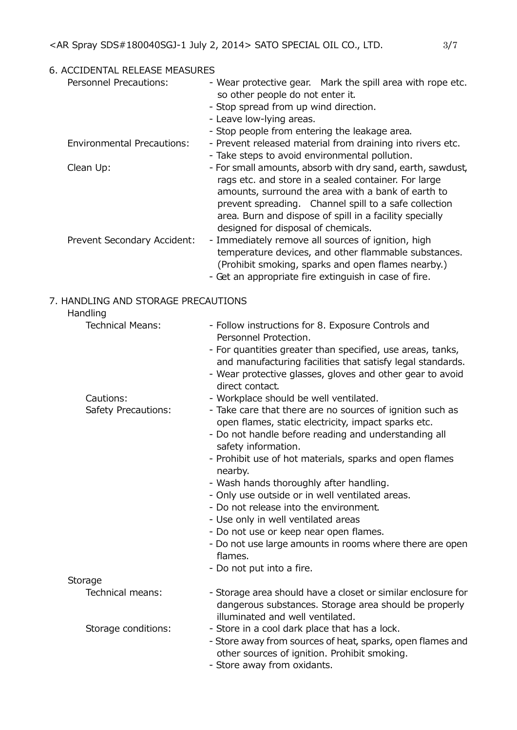| 6. ACCIDENTAL RELEASE MEASURES                  |                                                                                                                                                                                                                                                                                                                                                                                                                                                                                                                                                                                                                                              |
|-------------------------------------------------|----------------------------------------------------------------------------------------------------------------------------------------------------------------------------------------------------------------------------------------------------------------------------------------------------------------------------------------------------------------------------------------------------------------------------------------------------------------------------------------------------------------------------------------------------------------------------------------------------------------------------------------------|
| <b>Personnel Precautions:</b>                   | - Wear protective gear. Mark the spill area with rope etc.<br>so other people do not enter it.<br>- Stop spread from up wind direction.<br>- Leave low-lying areas.<br>- Stop people from entering the leakage area.                                                                                                                                                                                                                                                                                                                                                                                                                         |
| <b>Environmental Precautions:</b>               | - Prevent released material from draining into rivers etc.<br>- Take steps to avoid environmental pollution.                                                                                                                                                                                                                                                                                                                                                                                                                                                                                                                                 |
| Clean Up:                                       | - For small amounts, absorb with dry sand, earth, sawdust,<br>rags etc. and store in a sealed container. For large<br>amounts, surround the area with a bank of earth to<br>prevent spreading. Channel spill to a safe collection<br>area. Burn and dispose of spill in a facility specially<br>designed for disposal of chemicals.                                                                                                                                                                                                                                                                                                          |
| Prevent Secondary Accident:                     | - Immediately remove all sources of ignition, high<br>temperature devices, and other flammable substances.<br>(Prohibit smoking, sparks and open flames nearby.)<br>- Get an appropriate fire extinguish in case of fire.                                                                                                                                                                                                                                                                                                                                                                                                                    |
| 7. HANDLING AND STORAGE PRECAUTIONS<br>Handling |                                                                                                                                                                                                                                                                                                                                                                                                                                                                                                                                                                                                                                              |
| <b>Technical Means:</b>                         | - Follow instructions for 8. Exposure Controls and<br>Personnel Protection.<br>- For quantities greater than specified, use areas, tanks,<br>and manufacturing facilities that satisfy legal standards.<br>- Wear protective glasses, gloves and other gear to avoid<br>direct contact.                                                                                                                                                                                                                                                                                                                                                      |
| Cautions:<br>Safety Precautions:                | - Workplace should be well ventilated.<br>- Take care that there are no sources of ignition such as<br>open flames, static electricity, impact sparks etc.<br>- Do not handle before reading and understanding all<br>safety information.<br>- Prohibit use of hot materials, sparks and open flames<br>nearby.<br>- Wash hands thoroughly after handling.<br>- Only use outside or in well ventilated areas.<br>- Do not release into the environment.<br>- Use only in well ventilated areas<br>- Do not use or keep near open flames.<br>- Do not use large amounts in rooms where there are open<br>flames.<br>- Do not put into a fire. |
| Storage<br>Technical means:                     | - Storage area should have a closet or similar enclosure for                                                                                                                                                                                                                                                                                                                                                                                                                                                                                                                                                                                 |
|                                                 | dangerous substances. Storage area should be properly<br>illuminated and well ventilated.                                                                                                                                                                                                                                                                                                                                                                                                                                                                                                                                                    |
| Storage conditions:                             | - Store in a cool dark place that has a lock.<br>- Store away from sources of heat, sparks, open flames and<br>other sources of ignition. Prohibit smoking.<br>- Store away from oxidants.                                                                                                                                                                                                                                                                                                                                                                                                                                                   |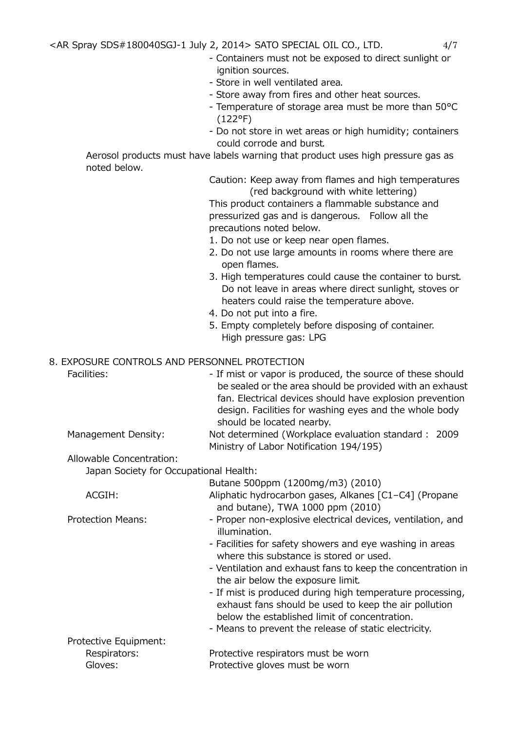- Containers must not be exposed to direct sunlight or ignition sources.
- Store in well ventilated area.
- Store away from fires and other heat sources.
- Temperature of storage area must be more than 50°C (122°F)
- Do not store in wet areas or high humidity; containers could corrode and burst.

Aerosol products must have labels warning that product uses high pressure gas as noted below.

> Caution: Keep away from flames and high temperatures (red background with white lettering)

This product containers a flammable substance and pressurized gas and is dangerous. Follow all the precautions noted below.

- 1. Do not use or keep near open flames.
- 2. Do not use large amounts in rooms where there are open flames.
- 3. High temperatures could cause the container to burst. Do not leave in areas where direct sunlight, stoves or heaters could raise the temperature above.
- 4. Do not put into a fire.
- 5. Empty completely before disposing of container. High pressure gas: LPG

## 8. EXPOSURE CONTROLS AND PERSONNEL PROTECTION

|                                        | 000112 001111102071110 1 21100111122 1 110 1 20 1 10 11                                                                                                             |
|----------------------------------------|---------------------------------------------------------------------------------------------------------------------------------------------------------------------|
| Facilities:                            | - If mist or vapor is produced, the source of these should<br>be sealed or the area should be provided with an exhaust                                              |
|                                        | fan. Electrical devices should have explosion prevention<br>design. Facilities for washing eyes and the whole body<br>should be located nearby.                     |
| Management Density:                    | Not determined (Workplace evaluation standard : 2009                                                                                                                |
|                                        | Ministry of Labor Notification 194/195)                                                                                                                             |
| Allowable Concentration:               |                                                                                                                                                                     |
| Japan Society for Occupational Health: |                                                                                                                                                                     |
|                                        | Butane 500ppm (1200mg/m3) (2010)                                                                                                                                    |
| ACGIH:                                 | Aliphatic hydrocarbon gases, Alkanes [C1-C4] (Propane                                                                                                               |
|                                        | and butane), TWA 1000 ppm (2010)                                                                                                                                    |
| <b>Protection Means:</b>               | - Proper non-explosive electrical devices, ventilation, and<br>illumination.                                                                                        |
|                                        | - Facilities for safety showers and eye washing in areas<br>where this substance is stored or used.                                                                 |
|                                        | - Ventilation and exhaust fans to keep the concentration in<br>the air below the exposure limit.                                                                    |
|                                        | - If mist is produced during high temperature processing,<br>exhaust fans should be used to keep the air pollution<br>below the established limit of concentration. |
|                                        |                                                                                                                                                                     |

- Means to prevent the release of static electricity. Protective Equipment: Respirators: Protective respirators must be worn Gloves: Protective gloves must be worn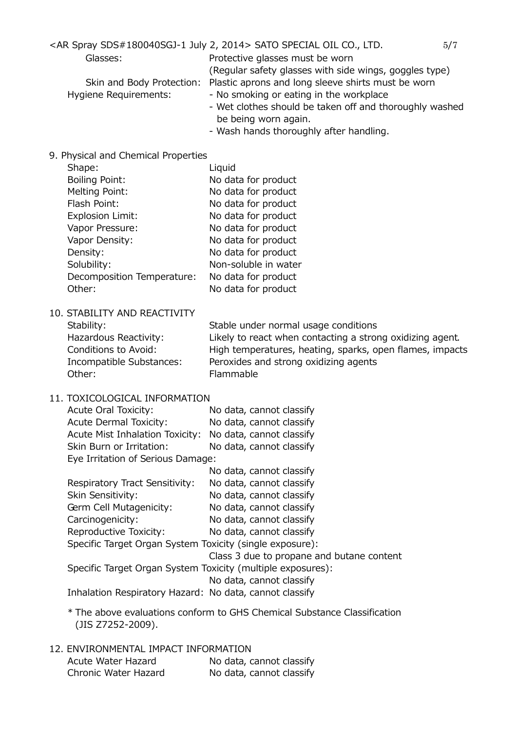<AR Spray SDS#180040SGJ-1 July 2, 2014> SATO SPECIAL OIL CO., LTD.  $5/7$ 

Glasses: Protective glasses must be worn

(Regular safety glasses with side wings, goggles type)

Skin and Body Protection: Plastic aprons and long sleeve shirts must be worn

- Hygiene Requirements: No smoking or eating in the workplace
	- Wet clothes should be taken off and thoroughly washed be being worn again.
	- Wash hands thoroughly after handling.
- 9. Physical and Chemical Properties

| Shape:                     | Liquid               |
|----------------------------|----------------------|
| <b>Boiling Point:</b>      | No data for product  |
| Melting Point:             | No data for product  |
| Flash Point:               | No data for product  |
| <b>Explosion Limit:</b>    | No data for product  |
| Vapor Pressure:            | No data for product  |
| Vapor Density:             | No data for product  |
| Density:                   | No data for product  |
| Solubility:                | Non-soluble in water |
| Decomposition Temperature: | No data for product  |
| Other:                     | No data for product  |
|                            |                      |

10. STABILITY AND REACTIVITY Other: Flammable

Stability: Stable under normal usage conditions Hazardous Reactivity: Likely to react when contacting a strong oxidizing agent. Conditions to Avoid: High temperatures, heating, sparks, open flames, impacts Incompatible Substances: Peroxides and strong oxidizing agents

11. TOXICOLOGICAL INFORMATION

| <b>Acute Oral Toxicity:</b>                              | No data, cannot classify |  |
|----------------------------------------------------------|--------------------------|--|
| <b>Acute Dermal Toxicity:</b>                            | No data, cannot classify |  |
| Acute Mist Inhalation Toxicity: No data, cannot classify |                          |  |
| Skin Burn or Irritation:                                 | No data, cannot classify |  |
| Eye Irritation of Serious Damage:                        |                          |  |
|                                                          | No data, cannot classify |  |

| Respiratory Tract Sensitivity:                                                                                                                                   | No data, cannot classify                  |  |
|------------------------------------------------------------------------------------------------------------------------------------------------------------------|-------------------------------------------|--|
| Skin Sensitivity:                                                                                                                                                | No data, cannot classify                  |  |
| Germ Cell Mutagenicity:                                                                                                                                          | No data, cannot classify                  |  |
| Carcinogenicity:                                                                                                                                                 | No data, cannot classify                  |  |
| Reproductive Toxicity:                                                                                                                                           | No data, cannot classify                  |  |
| Specific Target Organ System Toxicity (single exposure):                                                                                                         |                                           |  |
|                                                                                                                                                                  | Class 3 due to propane and butane content |  |
| $C_{\alpha}$ , if $C_{\alpha}$ . The set $C_{\alpha}$ are $C_{\alpha}$ , then $C_{\alpha}$ , then the function of $C_{\alpha}$ , and $C_{\alpha}$ , $C_{\alpha}$ |                                           |  |

Specific Target Organ System Toxicity (multiple exposures):

No data, cannot classify

Inhalation Respiratory Hazard: No data, cannot classify

- \* The above evaluations conform to GHS Chemical Substance Classification (JIS Z7252-2009).
- 12. ENVIRONMENTAL IMPACT INFORMATION

| Acute Water Hazard   | No data, cannot classify |
|----------------------|--------------------------|
| Chronic Water Hazard | No data, cannot classify |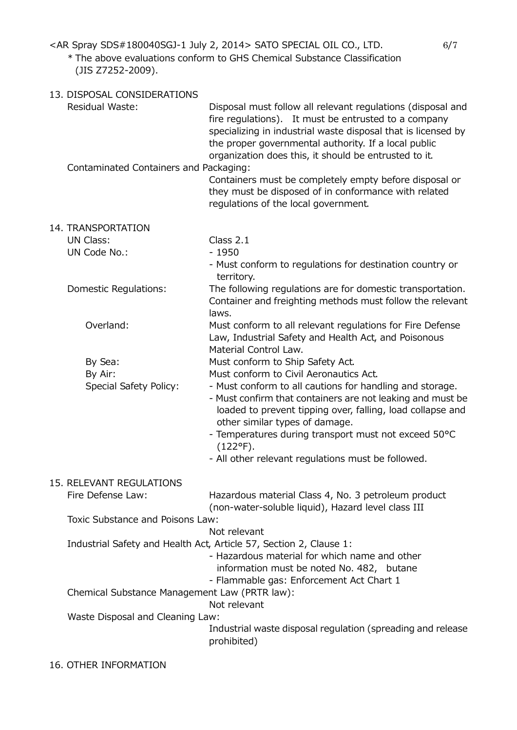<AR Spray SDS#180040SGJ-1 July 2, 2014> SATO SPECIAL OIL CO., LTD. 6/7

## \* The above evaluations conform to GHS Chemical Substance Classification (JIS Z7252-2009).

| 13. DISPOSAL CONSIDERATIONS                   |                                                                                                                                                                                                                                                                                                                                                           |
|-----------------------------------------------|-----------------------------------------------------------------------------------------------------------------------------------------------------------------------------------------------------------------------------------------------------------------------------------------------------------------------------------------------------------|
| <b>Residual Waste:</b>                        | Disposal must follow all relevant regulations (disposal and<br>fire regulations). It must be entrusted to a company<br>specializing in industrial waste disposal that is licensed by<br>the proper governmental authority. If a local public<br>organization does this, it should be entrusted to it.                                                     |
| Contaminated Containers and Packaging:        | Containers must be completely empty before disposal or<br>they must be disposed of in conformance with related<br>regulations of the local government.                                                                                                                                                                                                    |
| 14. TRANSPORTATION                            |                                                                                                                                                                                                                                                                                                                                                           |
| UN Class:                                     | Class 2.1                                                                                                                                                                                                                                                                                                                                                 |
| UN Code No.:                                  | $-1950$                                                                                                                                                                                                                                                                                                                                                   |
|                                               | - Must conform to regulations for destination country or<br>territory.                                                                                                                                                                                                                                                                                    |
| Domestic Regulations:                         | The following regulations are for domestic transportation.<br>Container and freighting methods must follow the relevant<br>laws.                                                                                                                                                                                                                          |
| Overland:                                     | Must conform to all relevant regulations for Fire Defense<br>Law, Industrial Safety and Health Act, and Poisonous<br>Material Control Law.                                                                                                                                                                                                                |
| By Sea:                                       | Must conform to Ship Safety Act.                                                                                                                                                                                                                                                                                                                          |
| By Air:                                       | Must conform to Civil Aeronautics Act.                                                                                                                                                                                                                                                                                                                    |
| Special Safety Policy:                        | - Must conform to all cautions for handling and storage.<br>- Must confirm that containers are not leaking and must be<br>loaded to prevent tipping over, falling, load collapse and<br>other similar types of damage.<br>- Temperatures during transport must not exceed 50°C<br>$(122^{\circ}F).$<br>- All other relevant regulations must be followed. |
|                                               |                                                                                                                                                                                                                                                                                                                                                           |
| 15. RELEVANT REGULATIONS<br>Fire Defense Law: | Hazardous material Class 4, No. 3 petroleum product<br>(non-water-soluble liquid), Hazard level class III                                                                                                                                                                                                                                                 |
| Toxic Substance and Poisons Law:              |                                                                                                                                                                                                                                                                                                                                                           |
|                                               | Not relevant                                                                                                                                                                                                                                                                                                                                              |
|                                               | Industrial Safety and Health Act, Article 57, Section 2, Clause 1:<br>- Hazardous material for which name and other<br>information must be noted No. 482, butane<br>- Flammable gas: Enforcement Act Chart 1                                                                                                                                              |
| Chemical Substance Management Law (PRTR law): | Not relevant                                                                                                                                                                                                                                                                                                                                              |
| Waste Disposal and Cleaning Law:              |                                                                                                                                                                                                                                                                                                                                                           |
|                                               | Industrial waste disposal regulation (spreading and release<br>prohibited)                                                                                                                                                                                                                                                                                |